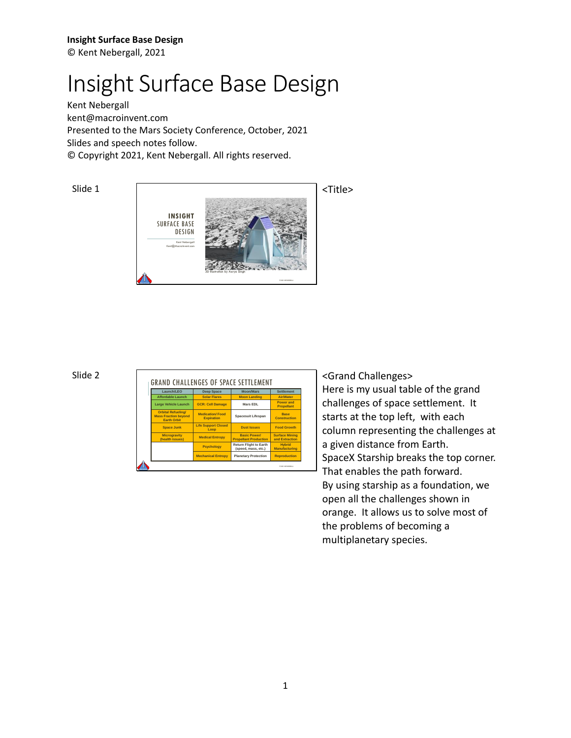Kent Nebergall [kent@macroinvent.com](mailto:kent@macroinvent.com) Presented to the Mars Society Conference, October, 2021 Slides and speech notes follow. © Copyright 2021, Kent Nebergall. All rights reserved.

Slide 1



|  | Launch/LEO                                                                     | <b>Deep Space</b>                           | <b>Moon/Mars</b>                                     | <b>Settlement</b>                       |
|--|--------------------------------------------------------------------------------|---------------------------------------------|------------------------------------------------------|-----------------------------------------|
|  | <b>Affordable Launch</b>                                                       | <b>Solar Flares</b>                         | <b>Moon Landing</b>                                  | Air/Water                               |
|  | Large Vehicle Launch                                                           | <b>GCR: Cell Damage</b>                     | Mars EDL                                             | Power and<br><b>Propellant</b>          |
|  | <b>Orbital Refueling/</b><br><b>Mass Fraction bevond</b><br><b>Earth Orbit</b> | <b>Medication/Food</b><br><b>Expiration</b> | Spacesuit Lifespan                                   | <b>Base</b><br><b>Construction</b>      |
|  | <b>Space Junk</b>                                                              | <b>Life Support Closed</b><br>Loop          | <b>Dust Issues</b>                                   | <b>Food Growth</b>                      |
|  | <b>Microgravity</b><br>(health issues)                                         | <b>Medical Entropy</b>                      | <b>Basic Power/</b><br><b>Propellant Production</b>  | <b>Surface Mining</b><br>and Extraction |
|  |                                                                                | <b>Psychology</b>                           | <b>Return Flight to Earth</b><br>(speed, mass, etc.) | <b>Hybrid</b><br><b>Manufacturing</b>   |
|  |                                                                                | <b>Mechanical Entropy</b>                   | <b>Planetary Protection</b>                          | <b>Reproduction</b>                     |

<Grand Challenges> Here is my usual table of the grand challenges of space settlement. It starts at the top left, with each column representing the challenges at a given distance from Earth. SpaceX Starship breaks the top corner. That enables the path forward. By using starship as a foundation, we open all the challenges shown in orange. It allows us to solve most of the problems of becoming a multiplanetary species.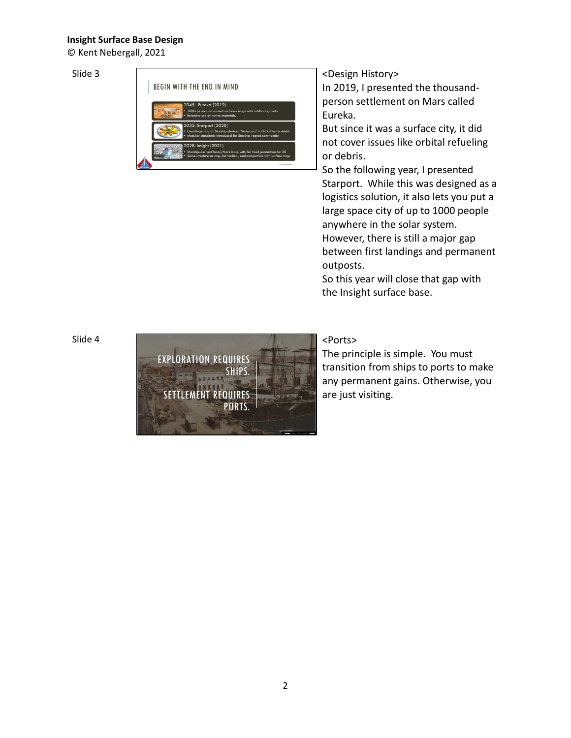© Kent Nebergall, 2021

# Slide 3



# <Design History>

In 2019, I presented the thousandperson settlement on Mars called Eureka.

But since it was a surface city, it did not cover issues like orbital refueling or debris.

So the following year, I presented Starport. While this was designed as a logistics solution, it also lets you put a large space city of up to 1000 people anywhere in the solar system. However, there is still a major gap between first landings and permanent

outposts.

So this year will close that gap with the Insight surface base.

# Slide 4



# <Ports>

The principle is simple. You must transition from ships to ports to make any permanent gains. Otherwise, you are just visiting.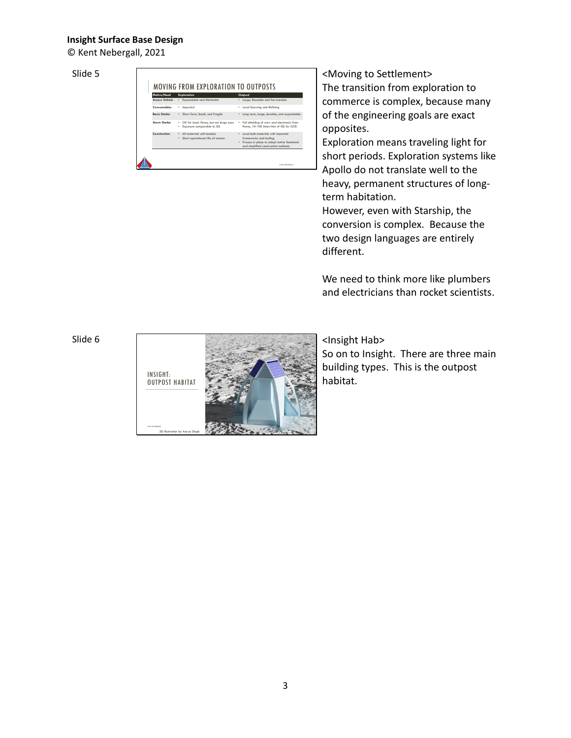© Kent Nebergall, 2021

Slide 5

| Motive/Need           | <b>Exploration</b>                                                         | Outpost                                                                                                                                                    |
|-----------------------|----------------------------------------------------------------------------|------------------------------------------------------------------------------------------------------------------------------------------------------------|
| <b>Access Vehicle</b> | * Expendable and Minimalist                                                | * Large, Reusable and Serviceable                                                                                                                          |
| Consumables           | Imported<br>٠                                                              | * Local Sourcina and Refining                                                                                                                              |
| <b>Basic Shelter</b>  | Short Term, Small, and Fragile                                             | * Long term, large, durable, and expandable                                                                                                                |
| <b>Storm Shelter</b>  | OK for basic flares, but not large ones<br>Exposure comparable to ISS<br>٠ | Full shielding of crew and electronics from<br>flares, 10-100 times that of ISS for GCR.                                                                   |
| Construction          | · All materials soft-landed.<br>Short operational life of mission          | * Local bulk materials with imported<br>frameworks and toolina.<br>Process in place to adopt native feedstock<br>٠<br>and simplified construction methods. |

<Moving to Settlement> The transition from exploration to commerce is complex, because many of the engineering goals are exact opposites.

Exploration means traveling light for short periods. Exploration systems like Apollo do not translate well to the heavy, permanent structures of longterm habitation.

However, even with Starship, the conversion is complex. Because the two design languages are entirely different.

We need to think more like plumbers and electricians than rocket scientists.

Slide 6



<Insight Hab>

So on to Insight. There are three main building types. This is the outpost habitat.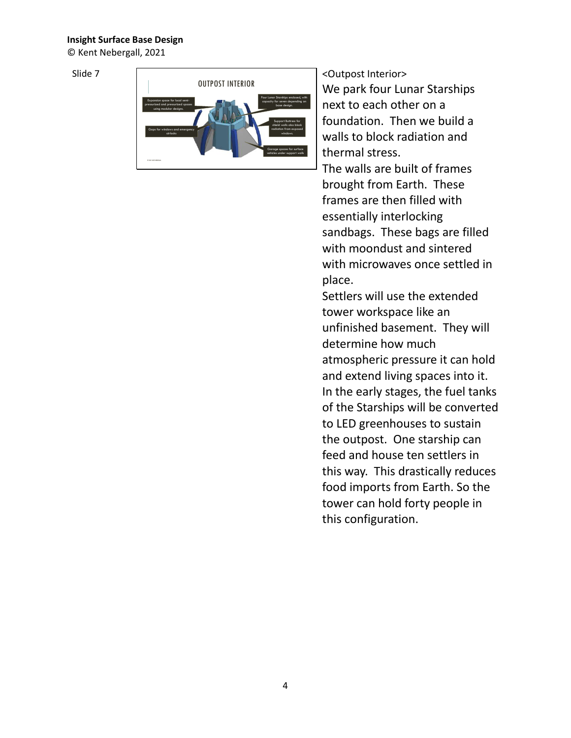© Kent Nebergall, 2021

Slide 7



<Outpost Interior> We park four Lunar Starships next to each other on a foundation. Then we build a walls to block radiation and thermal stress. The walls are built of frames brought from Earth. These frames are then filled with essentially interlocking sandbags. These bags are filled with moondust and sintered with microwaves once settled in place.

Settlers will use the extended tower workspace like an unfinished basement. They will determine how much atmospheric pressure it can hold and extend living spaces into it. In the early stages, the fuel tanks of the Starships will be converted to LED greenhouses to sustain the outpost. One starship can feed and house ten settlers in this way. This drastically reduces food imports from Earth. So the tower can hold forty people in this configuration.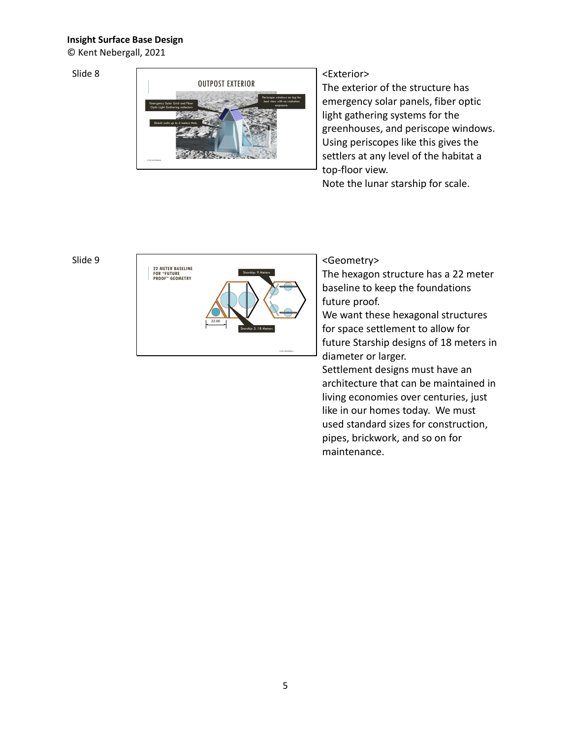© Kent Nebergall, 2021

### Slide 8



# <Exterior>

The exterior of the structure has emergency solar panels, fiber optic light gathering systems for the greenhouses, and periscope windows. Using periscopes like this gives the settlers at any level of the habitat a top-floor view.

Note the lunar starship for scale.

### Slide 9



# <Geometry>

The hexagon structure has a 22 meter baseline to keep the foundations future proof.

We want these hexagonal structures for space settlement to allow for future Starship designs of 18 meters in diameter or larger.

Settlement designs must have an architecture that can be maintained in living economies over centuries, just like in our homes today. We must used standard sizes for construction, pipes, brickwork, and so on for maintenance.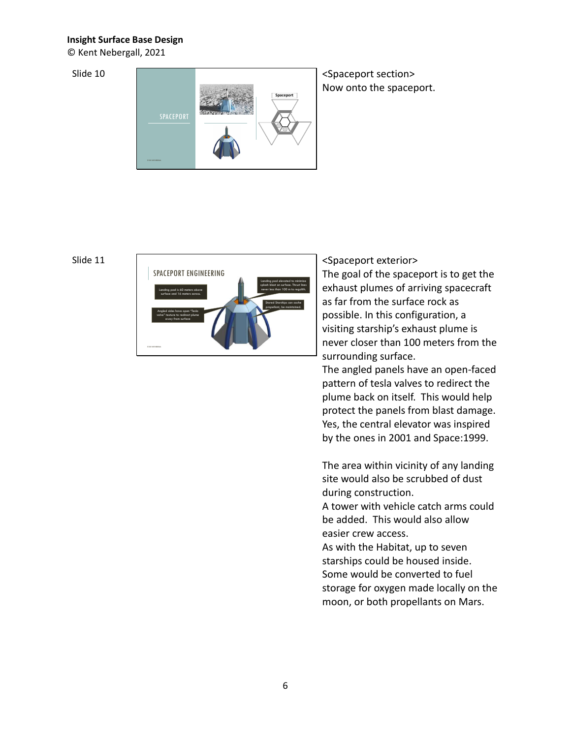© Kent Nebergall, 2021

Slide 10



<Spaceport section> Now onto the spaceport.

# Slide 11



<Spaceport exterior> The goal of the spaceport is to get the exhaust plumes of arriving spacecraft as far from the surface rock as possible. In this configuration, a visiting starship's exhaust plume is never closer than 100 meters from the surrounding surface.

The angled panels have an open-faced pattern of tesla valves to redirect the plume back on itself. This would help protect the panels from blast damage. Yes, the central elevator was inspired by the ones in 2001 and Space:1999.

The area within vicinity of any landing site would also be scrubbed of dust during construction.

A tower with vehicle catch arms could be added. This would also allow easier crew access.

As with the Habitat, up to seven starships could be housed inside. Some would be converted to fuel storage for oxygen made locally on the moon, or both propellants on Mars.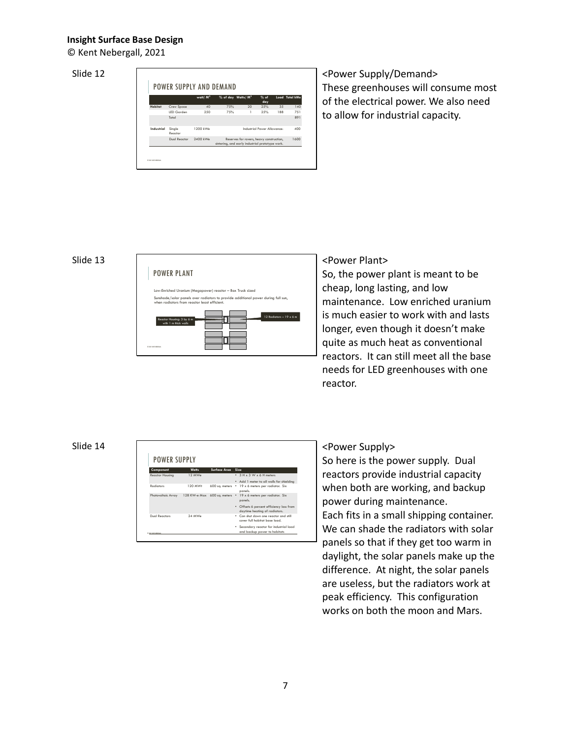© Kent Nebergall, 2021

### Slide 12



<Power Supply/Demand> These greenhouses will consume most of the electrical power. We also need to allow for industrial capacity.

### Slide 13



# <Power Plant>

So, the power plant is meant to be cheap, long lasting, and low maintenance. Low enriched uranium is much easier to work with and lasts longer, even though it doesn't make quite as much heat as conventional reactors. It can still meet all the base needs for LED greenhouses with one reactor.

# Slide 14

| Component                | <b>Watts</b>                | Surface Area   | Size                                                                      |
|--------------------------|-----------------------------|----------------|---------------------------------------------------------------------------|
| Reactor Housing          | 12 MWe                      |                | • 3 H x 3 W x 6 H meters                                                  |
|                          |                             |                | • Add 1 meter to all walls for shielding                                  |
| <b>Radiators</b>         | 120 MWt                     | 600 sq. meters | • 19 x 6 meters per radiator. Six<br>panels.                              |
| Photovoltaic Array       | 128 KW-e Max 600 sq. meters |                | • 19 x 6 meters per radiator. Six<br>panels.                              |
|                          |                             |                | • Offsets 6 percent efficiency loss from<br>daytime heating of radiators. |
| Dual Reactors            | 24 MWe                      |                | . Can shut down one reactor and still<br>cover full habitat base load.    |
| (D fort you) scatalizers |                             |                | * Secondary reactor for industrial load<br>and backup power to habitats   |

# <Power Supply>

So here is the power supply. Dual reactors provide industrial capacity when both are working, and backup power during maintenance. Each fits in a small shipping container. We can shade the radiators with solar panels so that if they get too warm in daylight, the solar panels make up the difference. At night, the solar panels are useless, but the radiators work at peak efficiency. This configuration works on both the moon and Mars.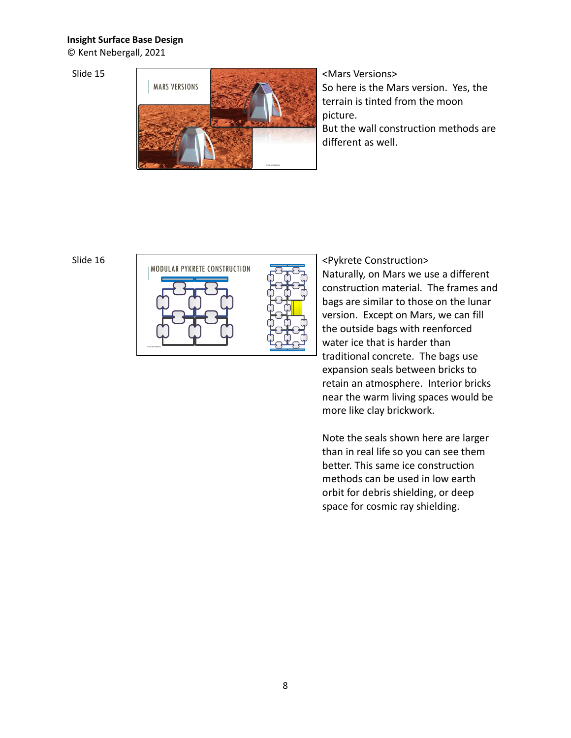© Kent Nebergall, 2021

Slide 15



<Mars Versions> So here is the Mars version. Yes, the terrain is tinted from the moon picture. But the wall construction methods are different as well.



<Pykrete Construction> Naturally, on Mars we use a different construction material. The frames and bags are similar to those on the lunar version. Except on Mars, we can fill the outside bags with reenforced water ice that is harder than traditional concrete. The bags use expansion seals between bricks to retain an atmosphere. Interior bricks near the warm living spaces would be more like clay brickwork.

Note the seals shown here are larger than in real life so you can see them better. This same ice construction methods can be used in low earth orbit for debris shielding, or deep space for cosmic ray shielding.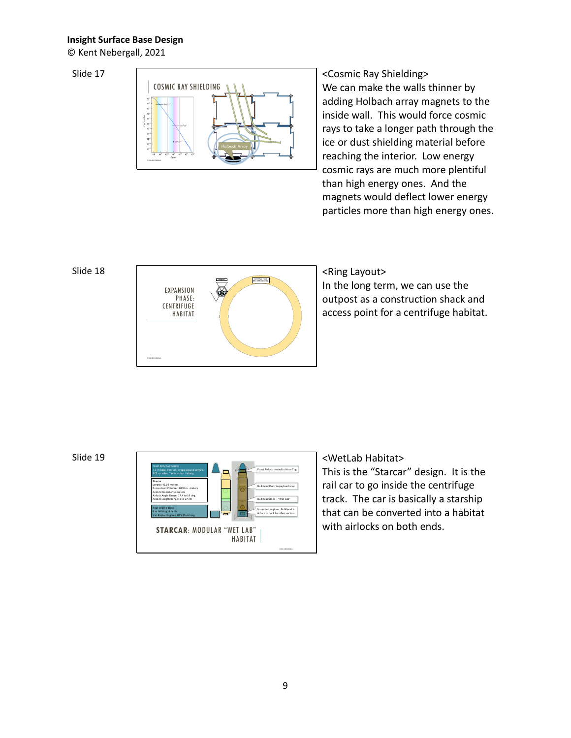© Kent Nebergall, 2021

# Slide 17



<Cosmic Ray Shielding> We can make the walls thinner by adding Holbach array magnets to the inside wall. This would force cosmic rays to take a longer path through the ice or dust shielding material before reaching the interior. Low energy cosmic rays are much more plentiful than high energy ones. And the magnets would deflect lower energy particles more than high energy ones.

### Slide 18



# <Ring Layout>

In the long term, we can use the outpost as a construction shack and access point for a centrifuge habitat.

# Slide 19



# <WetLab Habitat>

This is the "Starcar" design. It is the rail car to go inside the centrifuge track. The car is basically a starship that can be converted into a habitat with airlocks on both ends.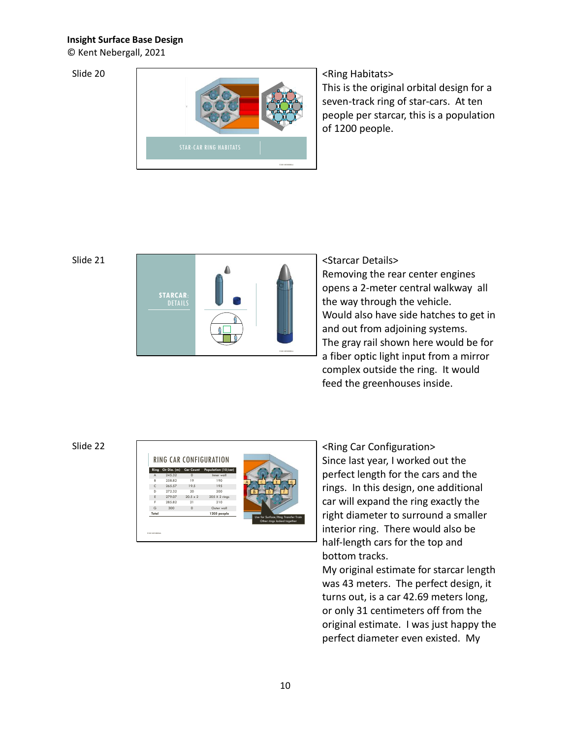© Kent Nebergall, 2021

Slide 20



# <Ring Habitats>

This is the original orbital design for a seven-track ring of star-cars. At ten people per starcar, this is a population of 1200 people.

# Slide 21



<Starcar Details> Removing the rear center engines opens a 2-meter central walkway all the way through the vehicle. Would also have side hatches to get in and out from adjoining systems. The gray rail shown here would be for a fiber optic light input from a mirror complex outside the ring. It would feed the greenhouses inside.

# Slide 22



<Ring Car Configuration> Since last year, I worked out the perfect length for the cars and the rings. In this design, one additional car will expand the ring exactly the right diameter to surround a smaller interior ring. There would also be half-length cars for the top and bottom tracks.

My original estimate for starcar length was 43 meters. The perfect design, it turns out, is a car 42.69 meters long, or only 31 centimeters off from the original estimate. I was just happy the perfect diameter even existed. My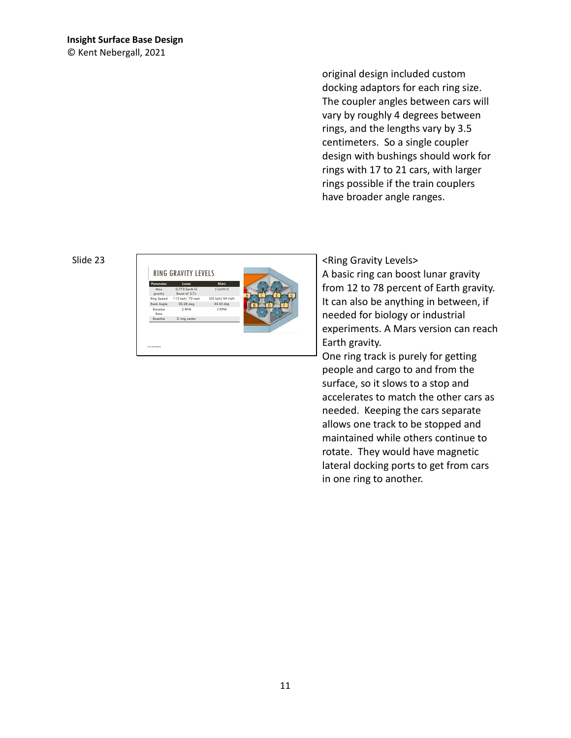original design included custom docking adaptors for each ring size. The coupler angles between cars will vary by roughly 4 degrees between rings, and the lengths vary by 3.5 centimeters. So a single coupler design with bushings should work for rings with 17 to 21 cars, with larger rings possible if the train couplers have broader angle ranges.

### Slide 23



<Ring Gravity Levels> A basic ring can boost lunar gravity from 12 to 78 percent of Earth gravity. It can also be anything in between, if needed for biology or industrial experiments. A Mars version can reach Earth gravity.

One ring track is purely for getting people and cargo to and from the surface, so it slows to a stop and accelerates to match the other cars as needed. Keeping the cars separate allows one track to be stopped and maintained while others continue to rotate. They would have magnetic lateral docking ports to get from cars in one ring to another.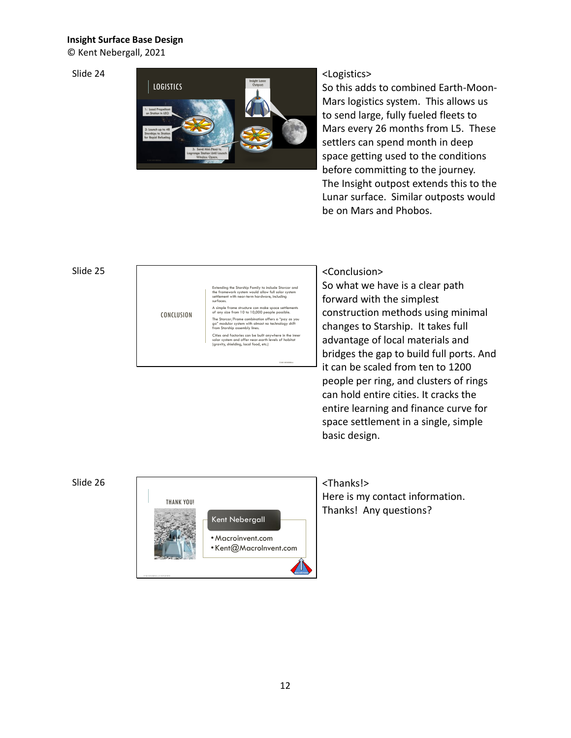© Kent Nebergall, 2021

Slide 24



# <Logistics>

So this adds to combined Earth-Moon-Mars logistics system. This allows us to send large, fully fueled fleets to Mars every 26 months from L5. These settlers can spend month in deep space getting used to the conditions before committing to the journey. The Insight outpost extends this to the Lunar surface. Similar outposts would be on Mars and Phobos.

# Slide 25

| CONCLUSION | Extending the Starship Family to include Starcar and<br>the framework system would allow full solar system<br>settlement with near-term hardware, including<br>surfaces.<br>A simple frame structure can make space settlements<br>of any size from 10 to 10,000 people possible.<br>The Starcar/Frame combination offers a "pay as you<br>go" modular system with almost no technology shift<br>from Starship assembly lines.<br>Cities and factories can be built anywhere in the inner |
|------------|-------------------------------------------------------------------------------------------------------------------------------------------------------------------------------------------------------------------------------------------------------------------------------------------------------------------------------------------------------------------------------------------------------------------------------------------------------------------------------------------|
|            | solar system and offer near-earth levels of habitat<br>(gravity, shielding, local food, etc.)                                                                                                                                                                                                                                                                                                                                                                                             |
|            |                                                                                                                                                                                                                                                                                                                                                                                                                                                                                           |
|            | IT: NEI VOLTALIGEN.                                                                                                                                                                                                                                                                                                                                                                                                                                                                       |

# <Conclusion>

So what we have is a clear path forward with the simplest construction methods using minimal changes to Starship. It takes full advantage of local materials and bridges the gap to build full ports. And  $-$  it can be scaled from ten to 1200 people per ring, and clusters of rings can hold entire cities. It cracks the entire learning and finance curve for space settlement in a single, simple basic design.

# Slide 26



# <Thanks!>

Here is my contact information. Thanks! Any questions?